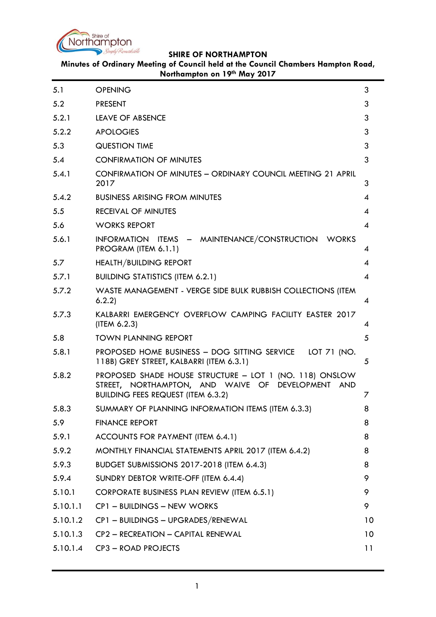

**Minutes of Ordinary Meeting of Council held at the Council Chambers Hampton Road, Northampton on 19th May 2017**

| 5.1      | <b>OPENING</b>                                                                                                                                            | 3                        |
|----------|-----------------------------------------------------------------------------------------------------------------------------------------------------------|--------------------------|
| 5.2      | <b>PRESENT</b>                                                                                                                                            | 3                        |
| 5.2.1    | <b>LEAVE OF ABSENCE</b>                                                                                                                                   | 3                        |
| 5.2.2    | <b>APOLOGIES</b>                                                                                                                                          | 3                        |
| 5.3      | <b>QUESTION TIME</b>                                                                                                                                      | 3                        |
| 5.4      | <b>CONFIRMATION OF MINUTES</b>                                                                                                                            | 3                        |
| 5.4.1    | <b>CONFIRMATION OF MINUTES - ORDINARY COUNCIL MEETING 21 APRIL</b><br>2017                                                                                | 3                        |
| 5.4.2    | <b>BUSINESS ARISING FROM MINUTES</b>                                                                                                                      | $\overline{\mathcal{A}}$ |
| 5.5      | <b>RECEIVAL OF MINUTES</b>                                                                                                                                | 4                        |
| 5.6      | <b>WORKS REPORT</b>                                                                                                                                       | $\boldsymbol{\varDelta}$ |
| 5.6.1    | INFORMATION ITEMS - MAINTENANCE/CONSTRUCTION WORKS<br>PROGRAM (ITEM 6.1.1)                                                                                | 4                        |
| 5.7      | <b>HEALTH/BUILDING REPORT</b>                                                                                                                             | 4                        |
| 5.7.1    | <b>BUILDING STATISTICS (ITEM 6.2.1)</b>                                                                                                                   | $\boldsymbol{\varDelta}$ |
| 5.7.2    | WASTE MANAGEMENT - VERGE SIDE BULK RUBBISH COLLECTIONS (ITEM<br>6.2.2)                                                                                    | 4                        |
| 5.7.3    | KALBARRI EMERGENCY OVERFLOW CAMPING FACILITY EASTER 2017<br>(IFEM 6.2.3)                                                                                  | 4                        |
| 5.8      | <b>TOWN PLANNING REPORT</b>                                                                                                                               | 5                        |
| 5.8.1    | PROPOSED HOME BUSINESS - DOG SITTING SERVICE<br>LOT 71 (NO.<br>118B) GREY STREET, KALBARRI (ITEM 6.3.1)                                                   | 5                        |
| 5.8.2    | PROPOSED SHADE HOUSE STRUCTURE - LOT 1 (NO. 118) ONSLOW<br>STREET, NORTHAMPTON, AND WAIVE OF DEVELOPMENT AND<br><b>BUILDING FEES REQUEST (ITEM 6.3.2)</b> | 7                        |
| 5.8.3    | SUMMARY OF PLANNING INFORMATION ITEMS (ITEM 6.3.3)                                                                                                        | 8                        |
| 5.9      | <b>FINANCE REPORT</b>                                                                                                                                     | 8                        |
| 5.9.1    | ACCOUNTS FOR PAYMENT (ITEM 6.4.1)                                                                                                                         | 8                        |
| 5.9.2    | MONTHLY FINANCIAL STATEMENTS APRIL 2017 (ITEM 6.4.2)                                                                                                      | 8                        |
| 5.9.3    | <b>BUDGET SUBMISSIONS 2017-2018 (ITEM 6.4.3)</b>                                                                                                          | 8                        |
| 5.9.4    | SUNDRY DEBTOR WRITE-OFF (ITEM 6.4.4)                                                                                                                      | 9                        |
| 5.10.1   | CORPORATE BUSINESS PLAN REVIEW (ITEM 6.5.1)                                                                                                               | 9                        |
| 5.10.1.1 | CP1 - BUILDINGS - NEW WORKS                                                                                                                               | 9                        |
| 5.10.1.2 | CP1 - BUILDINGS - UPGRADES/RENEWAL                                                                                                                        | 10                       |
| 5.10.1.3 | CP2 - RECREATION - CAPITAL RENEWAL                                                                                                                        | 10                       |
| 5.10.1.4 | CP3 - ROAD PROJECTS                                                                                                                                       | 11                       |
|          |                                                                                                                                                           |                          |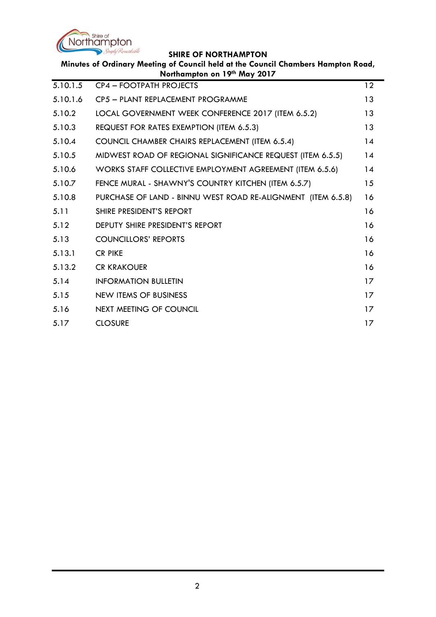

 $\overline{\phantom{a}}$ 

| Minutes of Ordinary Meeting of Council held at the Council Chambers Hampton Road,<br>Northampton on 19th May 2017 |                                                              |    |  |
|-------------------------------------------------------------------------------------------------------------------|--------------------------------------------------------------|----|--|
| 5.10.1.5                                                                                                          | <b>CP4 - FOOTPATH PROJECTS</b>                               | 12 |  |
| 5.10.1.6                                                                                                          | CP5 - PLANT REPLACEMENT PROGRAMME                            | 13 |  |
| 5.10.2                                                                                                            | LOCAL GOVERNMENT WEEK CONFERENCE 2017 (ITEM 6.5.2)           | 13 |  |
| 5.10.3                                                                                                            | REQUEST FOR RATES EXEMPTION (ITEM 6.5.3)                     | 13 |  |
| 5.10.4                                                                                                            | COUNCIL CHAMBER CHAIRS REPLACEMENT (ITEM 6.5.4)              | 14 |  |
| 5.10.5                                                                                                            | MIDWEST ROAD OF REGIONAL SIGNIFICANCE REQUEST (ITEM 6.5.5)   | 14 |  |
| 5.10.6                                                                                                            | WORKS STAFF COLLECTIVE EMPLOYMENT AGREEMENT (ITEM 6.5.6)     | 14 |  |
| 5.10.7                                                                                                            | FENCE MURAL - SHAWNY'S COUNTRY KITCHEN (ITEM 6.5.7)          | 15 |  |
| 5.10.8                                                                                                            | PURCHASE OF LAND - BINNU WEST ROAD RE-ALIGNMENT (ITEM 6.5.8) | 16 |  |
| 5.11                                                                                                              | SHIRE PRESIDENT'S REPORT                                     | 16 |  |
| 5.12                                                                                                              | <b>DEPUTY SHIRE PRESIDENT'S REPORT</b>                       | 16 |  |
| 5.13                                                                                                              | <b>COUNCILLORS' REPORTS</b>                                  | 16 |  |
| 5.13.1                                                                                                            | <b>CR PIKE</b>                                               | 16 |  |
| 5.13.2                                                                                                            | <b>CR KRAKOUER</b>                                           | 16 |  |
| 5.14                                                                                                              | <b>INFORMATION BULLETIN</b>                                  | 17 |  |
| 5.15                                                                                                              | <b>NEW ITEMS OF BUSINESS</b>                                 | 17 |  |
| 5.16                                                                                                              | <b>NEXT MEETING OF COUNCIL</b>                               | 17 |  |
| 5.17                                                                                                              | <b>CLOSURE</b>                                               | 17 |  |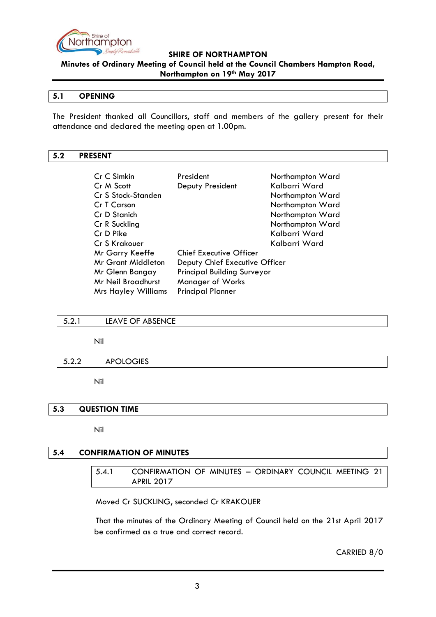

**Minutes of Ordinary Meeting of Council held at the Council Chambers Hampton Road, Northampton on 19th May 2017**

#### <span id="page-2-0"></span>**5.1 OPENING**

The President thanked all Councillors, staff and members of the gallery present for their attendance and declared the meeting open at 1.00pm.

#### <span id="page-2-1"></span>**5.2 PRESENT**

| Cr C Simkin                | President                          | Northampton Ward |
|----------------------------|------------------------------------|------------------|
| Cr M Scott                 | Deputy President                   | Kalbarri Ward    |
| Cr S Stock-Standen         |                                    | Northampton Ward |
| Cr T Carson                |                                    | Northampton Ward |
| Cr D Stanich               |                                    | Northampton Ward |
| Cr R Suckling              |                                    | Northampton Ward |
| Cr D Pike                  |                                    | Kalbarri Ward    |
| Cr S Krakouer              |                                    | Kalbarri Ward    |
| Mr Garry Keeffe            | <b>Chief Executive Officer</b>     |                  |
| Mr Grant Middleton         | Deputy Chief Executive Officer     |                  |
| Mr Glenn Bangay            | <b>Principal Building Surveyor</b> |                  |
| Mr Neil Broadhurst         | <b>Manager of Works</b>            |                  |
| <b>Mrs Hayley Williams</b> | <b>Principal Planner</b>           |                  |

#### <span id="page-2-2"></span>5.2.1 LEAVE OF ABSENCE

Nil

#### <span id="page-2-3"></span>5.2.2 APOLOGIES

Nil

#### <span id="page-2-4"></span>**5.3 QUESTION TIME**

Nil

# <span id="page-2-6"></span><span id="page-2-5"></span>**5.4 CONFIRMATION OF MINUTES**

5.4.1 CONFIRMATION OF MINUTES – ORDINARY COUNCIL MEETING 21 APRIL 2017

Moved Cr SUCKLING, seconded Cr KRAKOUER

That the minutes of the Ordinary Meeting of Council held on the 21st April 2017 be confirmed as a true and correct record.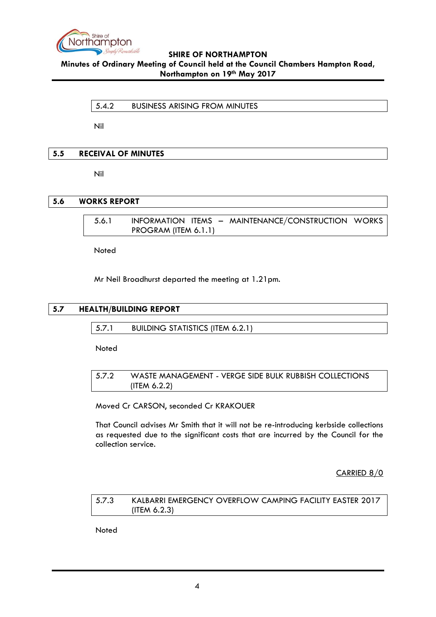

<span id="page-3-0"></span>**Minutes of Ordinary Meeting of Council held at the Council Chambers Hampton Road, Northampton on 19th May 2017**

5.4.2 BUSINESS ARISING FROM MINUTES

Nil

### <span id="page-3-1"></span>**5.5 RECEIVAL OF MINUTES**

Nil

## <span id="page-3-3"></span><span id="page-3-2"></span>**5.6 WORKS REPORT**

5.6.1 INFORMATION ITEMS – MAINTENANCE/CONSTRUCTION WORKS PROGRAM (ITEM 6.1.1)

Noted

Mr Neil Broadhurst departed the meeting at 1.21pm.

## <span id="page-3-5"></span><span id="page-3-4"></span>**5.7 HEALTH/BUILDING REPORT**

5.7.1 BUILDING STATISTICS (ITEM 6.2.1)

Noted

<span id="page-3-6"></span>5.7.2 WASTE MANAGEMENT - VERGE SIDE BULK RUBBISH COLLECTIONS (ITEM 6.2.2)

Moved Cr CARSON, seconded Cr KRAKOUER

That Council advises Mr Smith that it will not be re-introducing kerbside collections as requested due to the significant costs that are incurred by the Council for the collection service.

CARRIED 8/0

<span id="page-3-7"></span>5.7.3 KALBARRI EMERGENCY OVERFLOW CAMPING FACILITY EASTER 2017 (ITEM 6.2.3)

**Noted**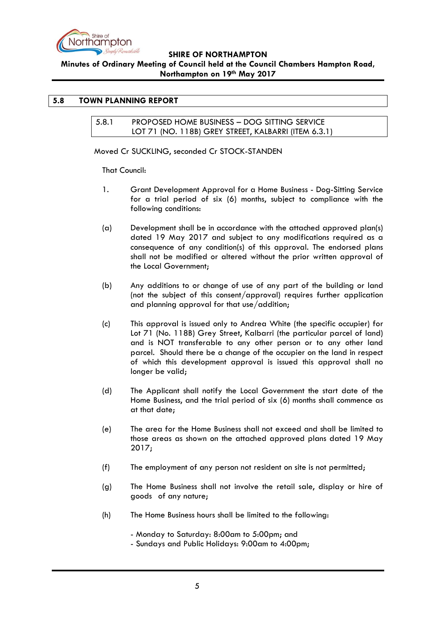

### **Minutes of Ordinary Meeting of Council held at the Council Chambers Hampton Road, Northampton on 19th May 2017**

## <span id="page-4-1"></span><span id="page-4-0"></span>**5.8 TOWN PLANNING REPORT**

5.8.1 PROPOSED HOME BUSINESS – DOG SITTING SERVICE LOT 71 (NO. 118B) GREY STREET, KALBARRI (ITEM 6.3.1)

Moved Cr SUCKLING, seconded Cr STOCK-STANDEN

That Council:

- 1. Grant Development Approval for a Home Business Dog-Sitting Service for a trial period of six (6) months, subject to compliance with the following conditions:
- (a) Development shall be in accordance with the attached approved plan(s) dated 19 May 2017 and subject to any modifications required as a consequence of any condition(s) of this approval. The endorsed plans shall not be modified or altered without the prior written approval of the Local Government;
- (b) Any additions to or change of use of any part of the building or land (not the subject of this consent/approval) requires further application and planning approval for that use/addition;
- (c) This approval is issued only to Andrea White (the specific occupier) for Lot 71 (No. 118B) Grey Street, Kalbarri (the particular parcel of land) and is NOT transferable to any other person or to any other land parcel. Should there be a change of the occupier on the land in respect of which this development approval is issued this approval shall no longer be valid;
- (d) The Applicant shall notify the Local Government the start date of the Home Business, and the trial period of six (6) months shall commence as at that date;
- (e) The area for the Home Business shall not exceed and shall be limited to those areas as shown on the attached approved plans dated 19 May 2017;
- (f) The employment of any person not resident on site is not permitted;
- (g) The Home Business shall not involve the retail sale, display or hire of goods of any nature;
- (h) The Home Business hours shall be limited to the following:

- Monday to Saturday: 8:00am to 5:00pm; and

- Sundays and Public Holidays: 9:00am to 4:00pm;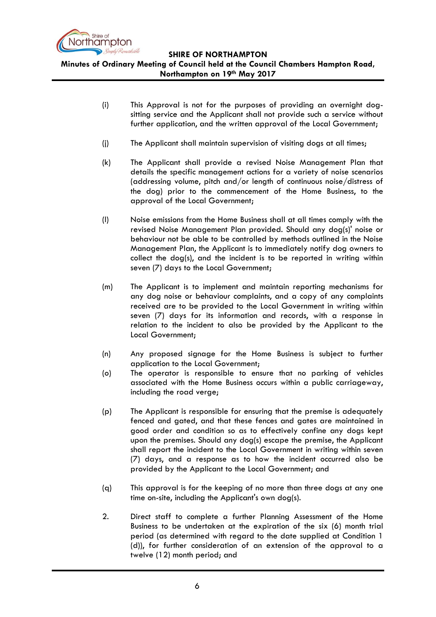

**Minutes of Ordinary Meeting of Council held at the Council Chambers Hampton Road, Northampton on 19th May 2017**

- (i) This Approval is not for the purposes of providing an overnight dogsitting service and the Applicant shall not provide such a service without further application, and the written approval of the Local Government;
- (j) The Applicant shall maintain supervision of visiting dogs at all times;
- (k) The Applicant shall provide a revised Noise Management Plan that details the specific management actions for a variety of noise scenarios (addressing volume, pitch and/or length of continuous noise/distress of the dog) prior to the commencement of the Home Business, to the approval of the Local Government;
- (l) Noise emissions from the Home Business shall at all times comply with the revised Noise Management Plan provided. Should any dog(s)' noise or behaviour not be able to be controlled by methods outlined in the Noise Management Plan, the Applicant is to immediately notify dog owners to collect the dog(s), and the incident is to be reported in writing within seven (7) days to the Local Government;
- (m) The Applicant is to implement and maintain reporting mechanisms for any dog noise or behaviour complaints, and a copy of any complaints received are to be provided to the Local Government in writing within seven (7) days for its information and records, with a response in relation to the incident to also be provided by the Applicant to the Local Government;
- (n) Any proposed signage for the Home Business is subject to further application to the Local Government;
- (o) The operator is responsible to ensure that no parking of vehicles associated with the Home Business occurs within a public carriageway, including the road verge;
- (p) The Applicant is responsible for ensuring that the premise is adequately fenced and gated, and that these fences and gates are maintained in good order and condition so as to effectively confine any dogs kept upon the premises. Should any dog(s) escape the premise, the Applicant shall report the incident to the Local Government in writing within seven (7) days, and a response as to how the incident occurred also be provided by the Applicant to the Local Government; and
- (q) This approval is for the keeping of no more than three dogs at any one time on-site, including the Applicant's own dog(s).
- 2. Direct staff to complete a further Planning Assessment of the Home Business to be undertaken at the expiration of the six (6) month trial period (as determined with regard to the date supplied at Condition 1 (d)), for further consideration of an extension of the approval to a twelve (12) month period; and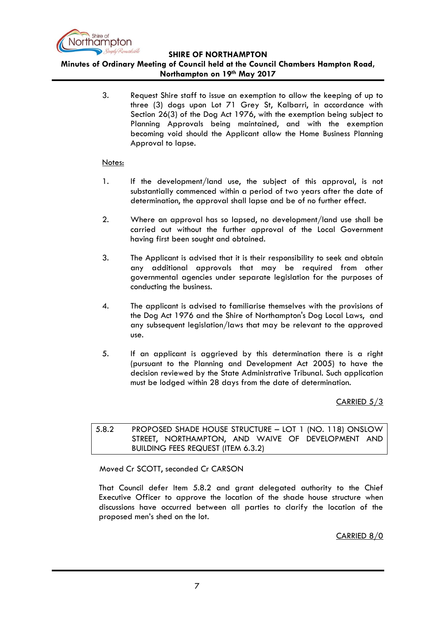

#### **Minutes of Ordinary Meeting of Council held at the Council Chambers Hampton Road, Northampton on 19th May 2017**

3. Request Shire staff to issue an exemption to allow the keeping of up to three (3) dogs upon Lot 71 Grey St, Kalbarri, in accordance with Section 26(3) of the Dog Act 1976, with the exemption being subject to Planning Approvals being maintained, and with the exemption becoming void should the Applicant allow the Home Business Planning Approval to lapse.

#### Notes:

- 1. If the development/land use, the subject of this approval, is not substantially commenced within a period of two years after the date of determination, the approval shall lapse and be of no further effect.
- 2. Where an approval has so lapsed, no development/land use shall be carried out without the further approval of the Local Government having first been sought and obtained.
- 3. The Applicant is advised that it is their responsibility to seek and obtain any additional approvals that may be required from other governmental agencies under separate legislation for the purposes of conducting the business.
- 4. The applicant is advised to familiarise themselves with the provisions of the Dog Act 1976 and the Shire of Northampton's Dog Local Laws, and any subsequent legislation/laws that may be relevant to the approved use.
- 5. If an applicant is aggrieved by this determination there is a right (pursuant to the Planning and Development Act 2005) to have the decision reviewed by the State Administrative Tribunal. Such application must be lodged within 28 days from the date of determination.

CARRIED 5/3

<span id="page-6-0"></span>5.8.2 PROPOSED SHADE HOUSE STRUCTURE – LOT 1 (NO. 118) ONSLOW STREET, NORTHAMPTON, AND WAIVE OF DEVELOPMENT AND BUILDING FEES REQUEST (ITEM 6.3.2)

Moved Cr SCOTT, seconded Cr CARSON

That Council defer Item 5.8.2 and grant delegated authority to the Chief Executive Officer to approve the location of the shade house structure when discussions have occurred between all parties to clarify the location of the proposed men's shed on the lot.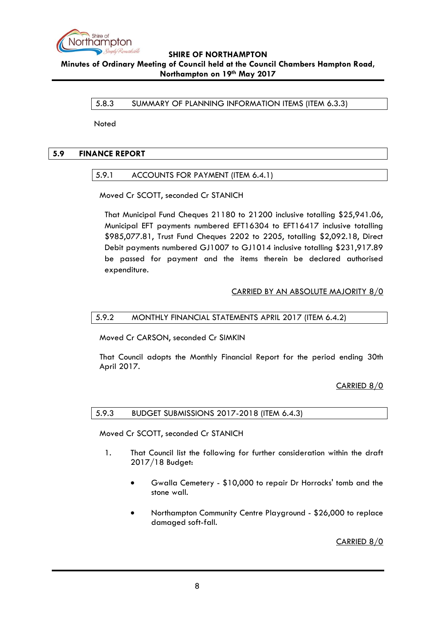

<span id="page-7-0"></span>**Minutes of Ordinary Meeting of Council held at the Council Chambers Hampton Road, Northampton on 19th May 2017**

5.8.3 SUMMARY OF PLANNING INFORMATION ITEMS (ITEM 6.3.3)

Noted

## <span id="page-7-2"></span><span id="page-7-1"></span>**5.9 FINANCE REPORT**

### 5.9.1 ACCOUNTS FOR PAYMENT (ITEM 6.4.1)

Moved Cr SCOTT, seconded Cr STANICH

That Municipal Fund Cheques 21180 to 21200 inclusive totalling \$25,941.06, Municipal EFT payments numbered EFT16304 to EFT16417 inclusive totalling \$985,077.81, Trust Fund Cheques 2202 to 2205, totalling \$2,092.18, Direct Debit payments numbered GJ1007 to GJ1014 inclusive totalling \$231,917.89 be passed for payment and the items therein be declared authorised expenditure.

### CARRIED BY AN ABSOLUTE MAJORITY 8/0

### <span id="page-7-3"></span>5.9.2 MONTHLY FINANCIAL STATEMENTS APRIL 2017 (ITEM 6.4.2)

Moved Cr CARSON, seconded Cr SIMKIN

That Council adopts the Monthly Financial Report for the period ending 30th April 2017.

CARRIED 8/0

#### <span id="page-7-4"></span>5.9.3 BUDGET SUBMISSIONS 2017-2018 (ITEM 6.4.3)

Moved Cr SCOTT, seconded Cr STANICH

- 1. That Council list the following for further consideration within the draft 2017/18 Budget:
	- Gwalla Cemetery \$10,000 to repair Dr Horrocks' tomb and the stone wall.
	- Northampton Community Centre Playground \$26,000 to replace damaged soft-fall.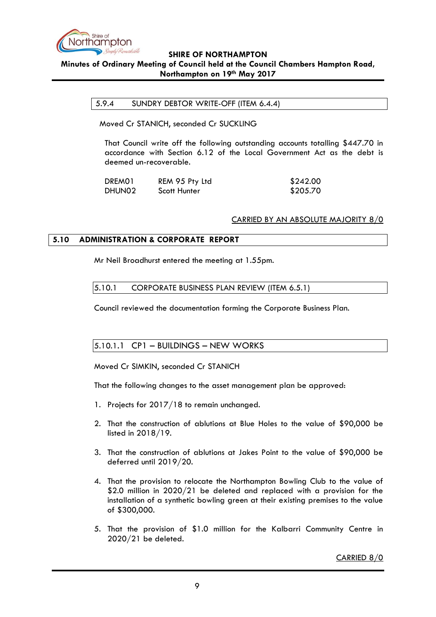

#### <span id="page-8-0"></span>**SHIRE OF NORTHAMPTON Minutes of Ordinary Meeting of Council held at the Council Chambers Hampton Road, Northampton on 19th May 2017**

#### 5.9.4 SUNDRY DEBTOR WRITE-OFF (ITEM 6.4.4)

Moved Cr STANICH, seconded Cr SUCKLING

That Council write off the following outstanding accounts totalling \$447.70 in accordance with Section 6.12 of the Local Government Act as the debt is deemed un-recoverable.

| DREM01             | REM 95 Pty Ltd | \$242.00 |
|--------------------|----------------|----------|
| DHUN <sub>02</sub> | Scott Hunter   | \$205.70 |

#### CARRIED BY AN ABSOLUTE MAJORITY 8/0

#### <span id="page-8-1"></span>**5.10 ADMINISTRATION & CORPORATE REPORT**

Mr Neil Broadhurst entered the meeting at 1.55pm.

#### 5.10.1 CORPORATE BUSINESS PLAN REVIEW (ITEM 6.5.1)

Council reviewed the documentation forming the Corporate Business Plan.

#### <span id="page-8-2"></span>5.10.1.1 CP1 – BUILDINGS – NEW WORKS

Moved Cr SIMKIN, seconded Cr STANICH

That the following changes to the asset management plan be approved:

- 1. Projects for 2017/18 to remain unchanged.
- 2. That the construction of ablutions at Blue Holes to the value of \$90,000 be listed in 2018/19.
- 3. That the construction of ablutions at Jakes Point to the value of \$90,000 be deferred until 2019/20.
- 4. That the provision to relocate the Northampton Bowling Club to the value of \$2.0 million in 2020/21 be deleted and replaced with a provision for the installation of a synthetic bowling green at their existing premises to the value of \$300,000.
- 5. That the provision of \$1.0 million for the Kalbarri Community Centre in 2020/21 be deleted.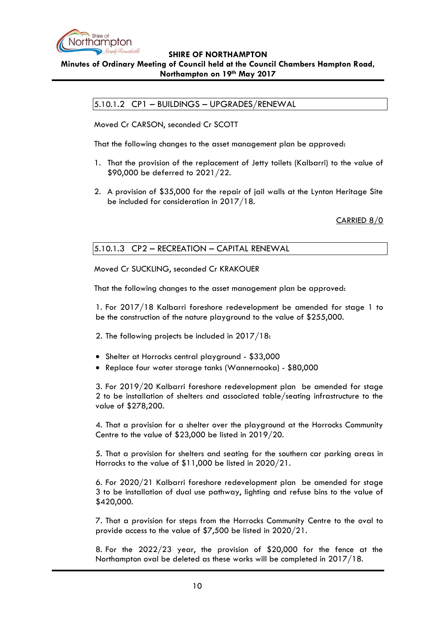

# <span id="page-9-0"></span>**Minutes of Ordinary Meeting of Council held at the Council Chambers Hampton Road, Northampton on 19th May 2017**

5.10.1.2 CP1 – BUILDINGS – UPGRADES/RENEWAL

Moved Cr CARSON, seconded Cr SCOTT

That the following changes to the asset management plan be approved:

- 1. That the provision of the replacement of Jetty toilets (Kalbarri) to the value of \$90,000 be deferred to 2021/22.
- 2. A provision of \$35,000 for the repair of jail walls at the Lynton Heritage Site be included for consideration in 2017/18.

CARRIED 8/0

# <span id="page-9-1"></span>5.10.1.3 CP2 – RECREATION – CAPITAL RENEWAL

Moved Cr SUCKLING, seconded Cr KRAKOUER

That the following changes to the asset management plan be approved:

1. For 2017/18 Kalbarri foreshore redevelopment be amended for stage 1 to be the construction of the nature playground to the value of \$255,000.

2. The following projects be included in 2017/18:

- Shelter at Horrocks central playground \$33,000
- Replace four water storage tanks (Wannernooka) \$80,000

3. For 2019/20 Kalbarri foreshore redevelopment plan be amended for stage 2 to be installation of shelters and associated table/seating infrastructure to the value of \$278,200.

4. That a provision for a shelter over the playground at the Horrocks Community Centre to the value of \$23,000 be listed in 2019/20.

5. That a provision for shelters and seating for the southern car parking areas in Horrocks to the value of \$11,000 be listed in 2020/21.

6. For 2020/21 Kalbarri foreshore redevelopment plan be amended for stage 3 to be installation of dual use pathway, lighting and refuse bins to the value of \$420,000.

7. That a provision for steps from the Horrocks Community Centre to the oval to provide access to the value of \$7,500 be listed in 2020/21.

8. For the 2022/23 year, the provision of \$20,000 for the fence at the Northampton oval be deleted as these works will be completed in 2017/18.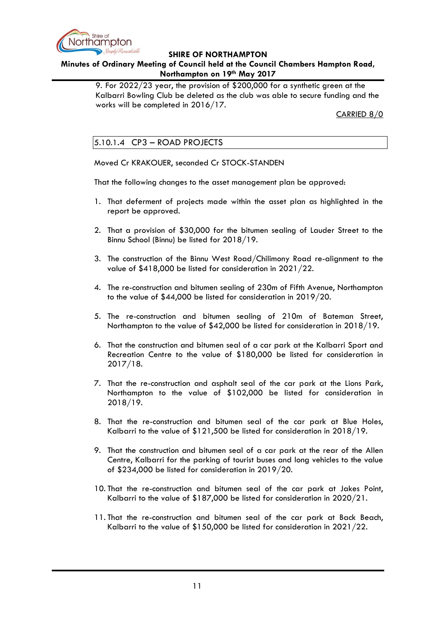

## **Minutes of Ordinary Meeting of Council held at the Council Chambers Hampton Road, Northampton on 19th May 2017**

9. For 2022/23 year, the provision of \$200,000 for a synthetic green at the Kalbarri Bowling Club be deleted as the club was able to secure funding and the works will be completed in 2016/17.

CARRIED 8/0

# <span id="page-10-0"></span>5.10.1.4 CP3 – ROAD PROJECTS

Moved Cr KRAKOUER, seconded Cr STOCK-STANDEN

That the following changes to the asset management plan be approved:

- 1. That deferment of projects made within the asset plan as highlighted in the report be approved.
- 2. That a provision of \$30,000 for the bitumen sealing of Lauder Street to the Binnu School (Binnu) be listed for 2018/19.
- 3. The construction of the Binnu West Road/Chilimony Road re-alignment to the value of \$418,000 be listed for consideration in 2021/22.
- 4. The re-construction and bitumen sealing of 230m of Fifth Avenue, Northampton to the value of \$44,000 be listed for consideration in 2019/20.
- 5. The re-construction and bitumen sealing of 210m of Bateman Street, Northampton to the value of \$42,000 be listed for consideration in 2018/19.
- 6. That the construction and bitumen seal of a car park at the Kalbarri Sport and Recreation Centre to the value of \$180,000 be listed for consideration in 2017/18.
- 7. That the re-construction and asphalt seal of the car park at the Lions Park, Northampton to the value of \$102,000 be listed for consideration in 2018/19.
- 8. That the re-construction and bitumen seal of the car park at Blue Holes, Kalbarri to the value of \$121,500 be listed for consideration in 2018/19.
- 9. That the construction and bitumen seal of a car park at the rear of the Allen Centre, Kalbarri for the parking of tourist buses and long vehicles to the value of \$234,000 be listed for consideration in 2019/20.
- 10. That the re-construction and bitumen seal of the car park at Jakes Point, Kalbarri to the value of \$187,000 be listed for consideration in 2020/21.
- 11. That the re-construction and bitumen seal of the car park at Back Beach, Kalbarri to the value of \$150,000 be listed for consideration in 2021/22.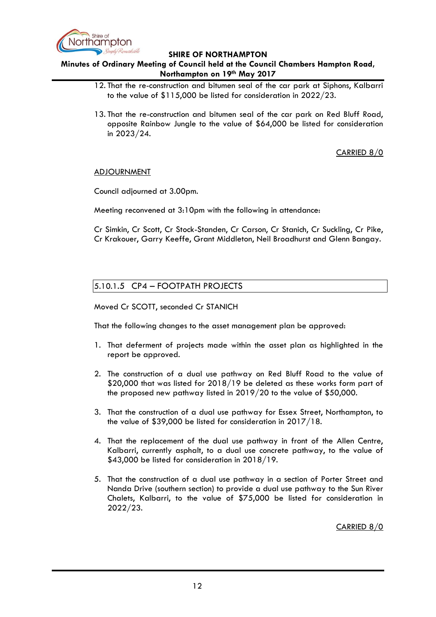

**Minutes of Ordinary Meeting of Council held at the Council Chambers Hampton Road, Northampton on 19th May 2017**

- 12. That the re-construction and bitumen seal of the car park at Siphons, Kalbarri to the value of \$115,000 be listed for consideration in 2022/23.
- 13. That the re-construction and bitumen seal of the car park on Red Bluff Road, opposite Rainbow Jungle to the value of \$64,000 be listed for consideration in 2023/24.

CARRIED 8/0

#### **ADJOURNMENT**

Council adjourned at 3.00pm.

Meeting reconvened at 3:10pm with the following in attendance:

Cr Simkin, Cr Scott, Cr Stock-Standen, Cr Carson, Cr Stanich, Cr Suckling, Cr Pike, Cr Krakouer, Garry Keeffe, Grant Middleton, Neil Broadhurst and Glenn Bangay.

### <span id="page-11-0"></span>5.10.1.5 CP4 – FOOTPATH PROJECTS

Moved Cr SCOTT, seconded Cr STANICH

That the following changes to the asset management plan be approved:

- 1. That deferment of projects made within the asset plan as highlighted in the report be approved.
- 2. The construction of a dual use pathway on Red Bluff Road to the value of \$20,000 that was listed for 2018/19 be deleted as these works form part of the proposed new pathway listed in 2019/20 to the value of \$50,000.
- 3. That the construction of a dual use pathway for Essex Street, Northampton, to the value of \$39,000 be listed for consideration in 2017/18.
- 4. That the replacement of the dual use pathway in front of the Allen Centre, Kalbarri, currently asphalt, to a dual use concrete pathway, to the value of \$43,000 be listed for consideration in 2018/19.
- 5. That the construction of a dual use pathway in a section of Porter Street and Nanda Drive (southern section) to provide a dual use pathway to the Sun River Chalets, Kalbarri, to the value of \$75,000 be listed for consideration in 2022/23.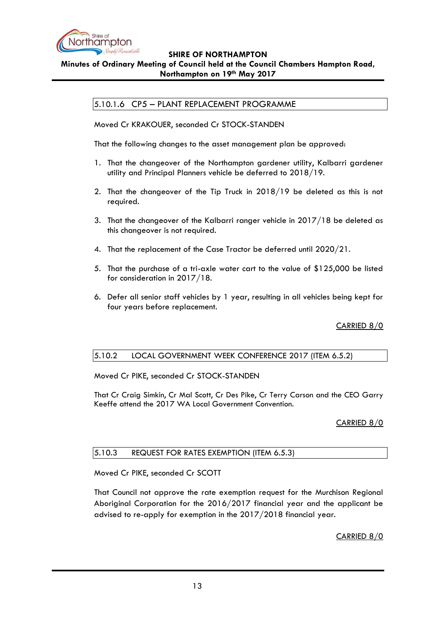

# <span id="page-12-0"></span>**Minutes of Ordinary Meeting of Council held at the Council Chambers Hampton Road, Northampton on 19th May 2017**

# 5.10.1.6 CP5 – PLANT REPLACEMENT PROGRAMME

Moved Cr KRAKOUER, seconded Cr STOCK-STANDEN

That the following changes to the asset management plan be approved:

- 1. That the changeover of the Northampton gardener utility, Kalbarri gardener utility and Principal Planners vehicle be deferred to 2018/19.
- 2. That the changeover of the Tip Truck in 2018/19 be deleted as this is not required.
- 3. That the changeover of the Kalbarri ranger vehicle in 2017/18 be deleted as this changeover is not required.
- 4. That the replacement of the Case Tractor be deferred until 2020/21.
- 5. That the purchase of a tri-axle water cart to the value of \$125,000 be listed for consideration in 2017/18.
- 6. Defer all senior staff vehicles by 1 year, resulting in all vehicles being kept for four years before replacement.

CARRIED 8/0

### <span id="page-12-1"></span>5.10.2 LOCAL GOVERNMENT WEEK CONFERENCE 2017 (ITEM 6.5.2)

Moved Cr PIKE, seconded Cr STOCK-STANDEN

That Cr Craig Simkin, Cr Mal Scott, Cr Des Pike, Cr Terry Carson and the CEO Garry Keeffe attend the 2017 WA Local Government Convention.

CARRIED 8/0

### <span id="page-12-2"></span>5.10.3 REQUEST FOR RATES EXEMPTION (ITEM 6.5.3)

Moved Cr PIKE, seconded Cr SCOTT

That Council not approve the rate exemption request for the Murchison Regional Aboriginal Corporation for the 2016/2017 financial year and the applicant be advised to re-apply for exemption in the 2017/2018 financial year.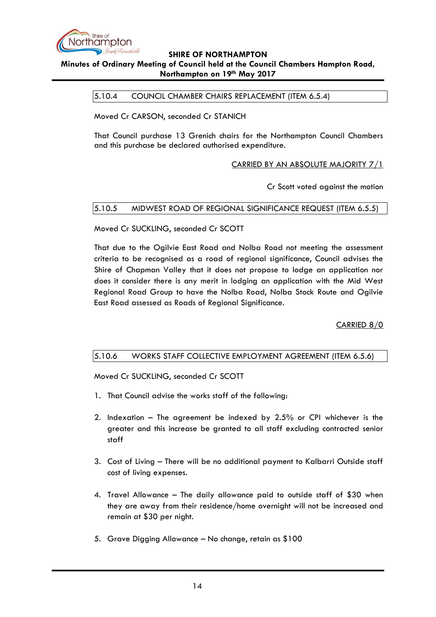

## <span id="page-13-0"></span>**Minutes of Ordinary Meeting of Council held at the Council Chambers Hampton Road, Northampton on 19th May 2017**

5.10.4 COUNCIL CHAMBER CHAIRS REPLACEMENT (ITEM 6.5.4)

Moved Cr CARSON, seconded Cr STANICH

That Council purchase 13 Grenich chairs for the Northampton Council Chambers and this purchase be declared authorised expenditure.

### CARRIED BY AN ABSOLUTE MAJORITY 7/1

Cr Scott voted against the motion

### <span id="page-13-1"></span>5.10.5 MIDWEST ROAD OF REGIONAL SIGNIFICANCE REQUEST (ITEM 6.5.5)

Moved Cr SUCKLING, seconded Cr SCOTT

That due to the Ogilvie East Road and Nolba Road not meeting the assessment criteria to be recognised as a road of regional significance, Council advises the Shire of Chapman Valley that it does not propose to lodge an application nor does it consider there is any merit in lodging an application with the Mid West Regional Road Group to have the Nolba Road, Nolba Stock Route and Ogilvie East Road assessed as Roads of Regional Significance.

CARRIED 8/0

### <span id="page-13-2"></span>5.10.6 WORKS STAFF COLLECTIVE EMPLOYMENT AGREEMENT (ITEM 6.5.6)

Moved Cr SUCKLING, seconded Cr SCOTT

- 1. That Council advise the works staff of the following:
- 2. Indexation The agreement be indexed by 2.5% or CPI whichever is the greater and this increase be granted to all staff excluding contracted senior staff
- 3. Cost of Living There will be no additional payment to Kalbarri Outside staff cost of living expenses.
- 4. Travel Allowance The daily allowance paid to outside staff of \$30 when they are away from their residence/home overnight will not be increased and remain at \$30 per night.
- 5. Grave Digging Allowance No change, retain as \$100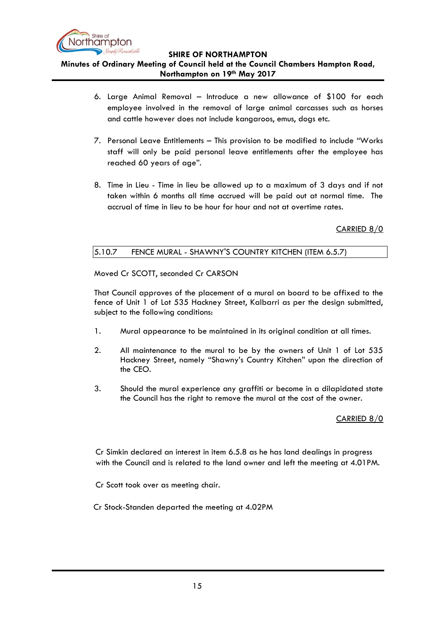

**Minutes of Ordinary Meeting of Council held at the Council Chambers Hampton Road, Northampton on 19th May 2017**

- 6. Large Animal Removal Introduce a new allowance of \$100 for each employee involved in the removal of large animal carcasses such as horses and cattle however does not include kangaroos, emus, dogs etc.
- 7. Personal Leave Entitlements This provision to be modified to include "Works staff will only be paid personal leave entitlements after the employee has reached 60 years of age".
- 8. Time in Lieu Time in lieu be allowed up to a maximum of 3 days and if not taken within 6 months all time accrued will be paid out at normal time. The accrual of time in lieu to be hour for hour and not at overtime rates.

CARRIED 8/0

### <span id="page-14-0"></span>5.10.7 FENCE MURAL - SHAWNY'S COUNTRY KITCHEN (ITEM 6.5.7)

Moved Cr SCOTT, seconded Cr CARSON

That Council approves of the placement of a mural on board to be affixed to the fence of Unit 1 of Lot 535 Hackney Street, Kalbarri as per the design submitted, subject to the following conditions:

- 1. Mural appearance to be maintained in its original condition at all times.
- 2. All maintenance to the mural to be by the owners of Unit 1 of Lot 535 Hackney Street, namely "Shawny's Country Kitchen" upon the direction of the CEO.
- 3. Should the mural experience any graffiti or become in a dilapidated state the Council has the right to remove the mural at the cost of the owner.

### CARRIED 8/0

Cr Simkin declared an interest in item 6.5.8 as he has land dealings in progress with the Council and is related to the land owner and left the meeting at 4.01PM.

Cr Scott took over as meeting chair.

Cr Stock-Standen departed the meeting at 4.02PM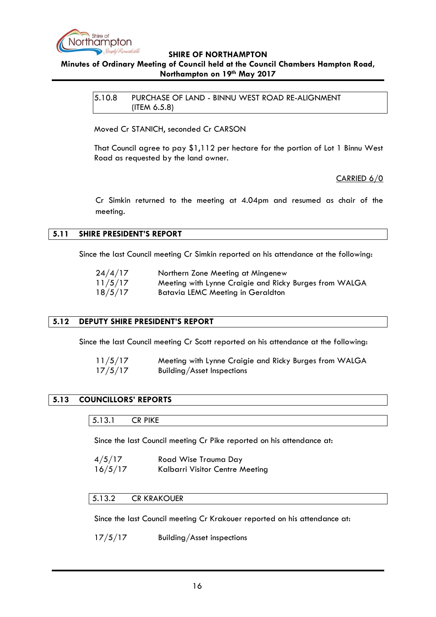

# <span id="page-15-0"></span>**Minutes of Ordinary Meeting of Council held at the Council Chambers Hampton Road, Northampton on 19th May 2017**

5.10.8 PURCHASE OF LAND - BINNU WEST ROAD RE-ALIGNMENT (ITEM 6.5.8)

Moved Cr STANICH, seconded Cr CARSON

That Council agree to pay \$1,112 per hectare for the portion of Lot 1 Binnu West Road as requested by the land owner.

### CARRIED 6/0

Cr Simkin returned to the meeting at 4.04pm and resumed as chair of the meeting.

#### <span id="page-15-1"></span>**5.11 SHIRE PRESIDENT'S REPORT**

Since the last Council meeting Cr Simkin reported on his attendance at the following:

| 24/4/17 | Northern Zone Meeting at Mingenew                      |
|---------|--------------------------------------------------------|
| 11/5/17 | Meeting with Lynne Craigie and Ricky Burges from WALGA |
| 18/5/17 | Batavia LEMC Meeting in Geraldton                      |

### <span id="page-15-2"></span>**5.12 DEPUTY SHIRE PRESIDENT'S REPORT**

Since the last Council meeting Cr Scott reported on his attendance at the following:

| 11/5/17 | Meeting with Lynne Craigie and Ricky Burges from WALGA |
|---------|--------------------------------------------------------|
| 17/5/17 | Building/Asset Inspections                             |

# <span id="page-15-4"></span><span id="page-15-3"></span>**5.13 COUNCILLORS' REPORTS**

5.13.1 CR PIKE

Since the last Council meeting Cr Pike reported on his attendance at:

4/5/17 Road Wise Trauma Day 16/5/17 Kalbarri Visitor Centre Meeting

#### <span id="page-15-5"></span>5.13.2 CR KRAKOUER

Since the last Council meeting Cr Krakouer reported on his attendance at:

17/5/17 Building/Asset inspections